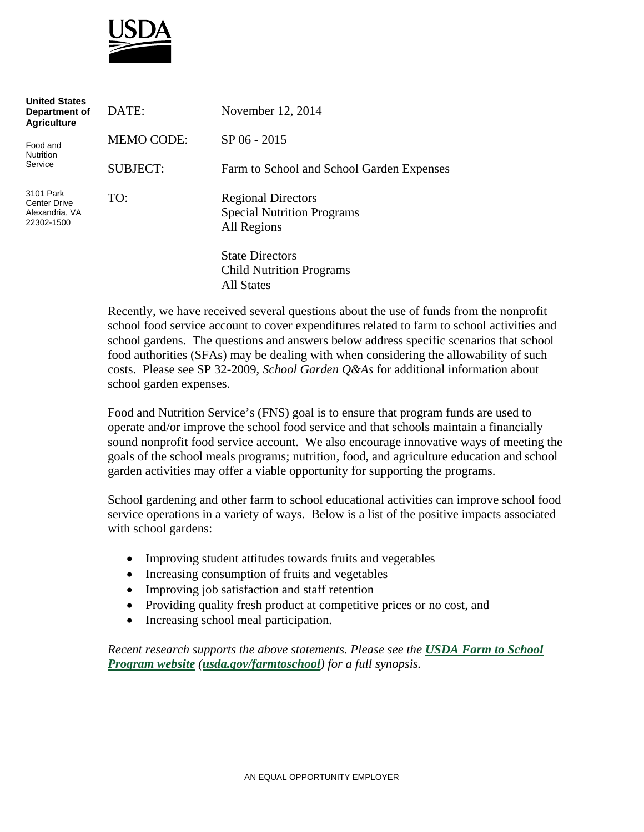

| <b>United States</b><br>Department of<br><b>Agriculture</b> | DATE:             | November 12, 2014                                                             |
|-------------------------------------------------------------|-------------------|-------------------------------------------------------------------------------|
| Food and<br><b>Nutrition</b><br>Service                     | <b>MEMO CODE:</b> | SP 06 - 2015                                                                  |
|                                                             | <b>SUBJECT:</b>   | Farm to School and School Garden Expenses                                     |
| 3101 Park<br>Center Drive<br>Alexandria, VA<br>22302-1500   | TO:               | <b>Regional Directors</b><br><b>Special Nutrition Programs</b><br>All Regions |
|                                                             |                   | <b>State Directors</b><br><b>Child Nutrition Programs</b>                     |

All States

Recently, we have received several questions about the use of funds from the nonprofit school food service account to cover expenditures related to farm to school activities and school gardens. The questions and answers below address specific scenarios that school food authorities (SFAs) may be dealing with when considering the allowability of such costs. Please see SP 32-2009, *School Garden Q&As* for additional information about school garden expenses.

Food and Nutrition Service's (FNS) goal is to ensure that program funds are used to operate and/or improve the school food service and that schools maintain a financially sound nonprofit food service account. We also encourage innovative ways of meeting the goals of the school meals programs; nutrition, food, and agriculture education and school garden activities may offer a viable opportunity for supporting the programs.

School gardening and other farm to school educational activities can improve school food service operations in a variety of ways. Below is a list of the positive impacts associated with school gardens:

- Improving student attitudes towards fruits and vegetables
- Increasing consumption of fruits and vegetables
- Improving job satisfaction and staff retention
- Providing quality fresh product at competitive prices or no cost, and
- Increasing school meal participation.

*Recent research supports the above statements. Please see the USDA Farm to School Program website (usda.gov/farmtoschool) for a full synopsis.*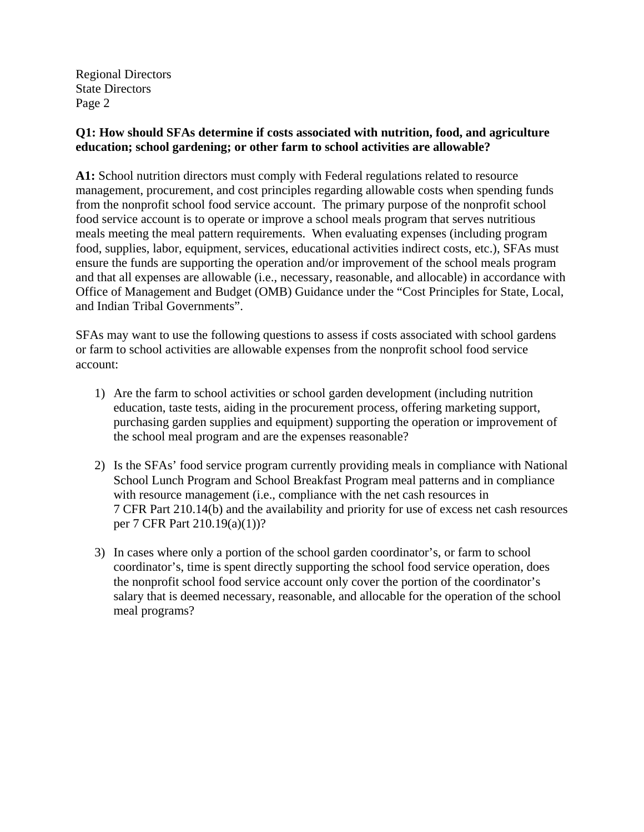### **Q1: How should SFAs determine if costs associated with nutrition, food, and agriculture education; school gardening; or other farm to school activities are allowable?**

**A1:** School nutrition directors must comply with Federal regulations related to resource management, procurement, and cost principles regarding allowable costs when spending funds from the nonprofit school food service account. The primary purpose of the nonprofit school food service account is to operate or improve a school meals program that serves nutritious meals meeting the meal pattern requirements. When evaluating expenses (including program food, supplies, labor, equipment, services, educational activities indirect costs, etc.), SFAs must ensure the funds are supporting the operation and/or improvement of the school meals program and that all expenses are allowable (i.e., necessary, reasonable, and allocable) in accordance with Office of Management and Budget (OMB) Guidance under the "Cost Principles for State, Local, and Indian Tribal Governments".

SFAs may want to use the following questions to assess if costs associated with school gardens or farm to school activities are allowable expenses from the nonprofit school food service account:

- 1) Are the farm to school activities or school garden development (including nutrition education, taste tests, aiding in the procurement process, offering marketing support, purchasing garden supplies and equipment) supporting the operation or improvement of the school meal program and are the expenses reasonable?
- 2) Is the SFAs' food service program currently providing meals in compliance with National School Lunch Program and School Breakfast Program meal patterns and in compliance with resource management (i.e., compliance with the net cash resources in 7 CFR Part 210.14(b) and the availability and priority for use of excess net cash resources per 7 CFR Part 210.19(a)(1))?
- 3) In cases where only a portion of the school garden coordinator's, or farm to school coordinator's, time is spent directly supporting the school food service operation, does the nonprofit school food service account only cover the portion of the coordinator's salary that is deemed necessary, reasonable, and allocable for the operation of the school meal programs?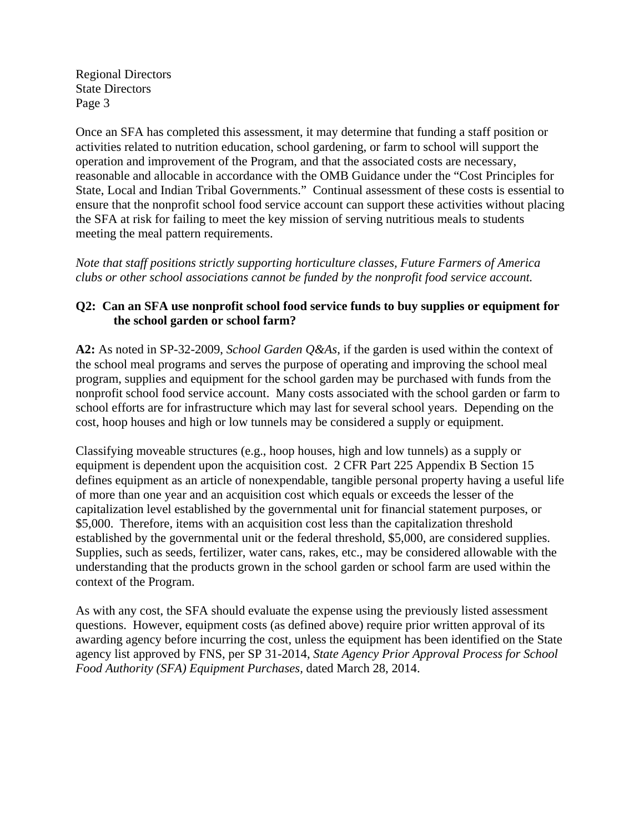Once an SFA has completed this assessment, it may determine that funding a staff position or activities related to nutrition education, school gardening, or farm to school will support the operation and improvement of the Program, and that the associated costs are necessary, reasonable and allocable in accordance with the OMB Guidance under the "Cost Principles for State, Local and Indian Tribal Governments." Continual assessment of these costs is essential to ensure that the nonprofit school food service account can support these activities without placing the SFA at risk for failing to meet the key mission of serving nutritious meals to students meeting the meal pattern requirements.

*Note that staff positions strictly supporting horticulture classes, Future Farmers of America clubs or other school associations cannot be funded by the nonprofit food service account.*

### **Q2: Can an SFA use nonprofit school food service funds to buy supplies or equipment for the school garden or school farm?**

**A2:** As noted in SP-32-2009, *School Garden Q&As*, if the garden is used within the context of the school meal programs and serves the purpose of operating and improving the school meal program, supplies and equipment for the school garden may be purchased with funds from the nonprofit school food service account. Many costs associated with the school garden or farm to school efforts are for infrastructure which may last for several school years. Depending on the cost, hoop houses and high or low tunnels may be considered a supply or equipment.

Classifying moveable structures (e.g., hoop houses, high and low tunnels) as a supply or equipment is dependent upon the acquisition cost. 2 CFR Part 225 Appendix B Section 15 defines equipment as an article of nonexpendable, tangible personal property having a useful life of more than one year and an acquisition cost which equals or exceeds the lesser of the capitalization level established by the governmental unit for financial statement purposes, or \$5,000. Therefore, items with an acquisition cost less than the capitalization threshold established by the governmental unit or the federal threshold, \$5,000, are considered supplies. Supplies, such as seeds, fertilizer, water cans, rakes, etc., may be considered allowable with the understanding that the products grown in the school garden or school farm are used within the context of the Program.

As with any cost, the SFA should evaluate the expense using the previously listed assessment questions. However, equipment costs (as defined above) require prior written approval of its awarding agency before incurring the cost, unless the equipment has been identified on the State agency list approved by FNS, per SP 31-2014, *State Agency Prior Approval Process for School Food Authority (SFA) Equipment Purchases,* dated March 28, 2014.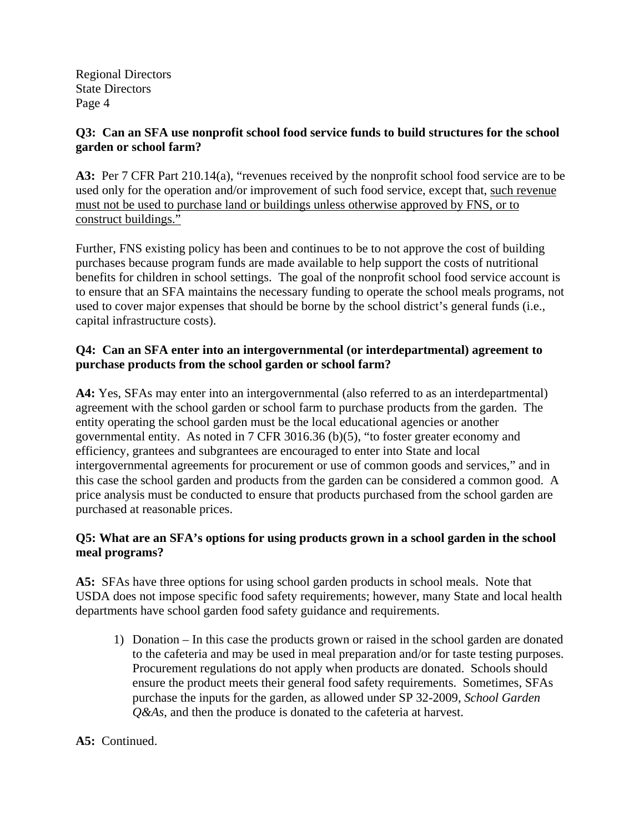### **Q3: Can an SFA use nonprofit school food service funds to build structures for the school garden or school farm?**

**A3:** Per 7 CFR Part 210.14(a), "revenues received by the nonprofit school food service are to be used only for the operation and/or improvement of such food service, except that, such revenue must not be used to purchase land or buildings unless otherwise approved by FNS, or to construct buildings."

Further, FNS existing policy has been and continues to be to not approve the cost of building purchases because program funds are made available to help support the costs of nutritional benefits for children in school settings. The goal of the nonprofit school food service account is to ensure that an SFA maintains the necessary funding to operate the school meals programs, not used to cover major expenses that should be borne by the school district's general funds (i.e., capital infrastructure costs).

# **Q4: Can an SFA enter into an intergovernmental (or interdepartmental) agreement to purchase products from the school garden or school farm?**

**A4:** Yes, SFAs may enter into an intergovernmental (also referred to as an interdepartmental) agreement with the school garden or school farm to purchase products from the garden. The entity operating the school garden must be the local educational agencies or another governmental entity. As noted in 7 CFR 3016.36 (b)(5), "to foster greater economy and efficiency, grantees and subgrantees are encouraged to enter into State and local intergovernmental agreements for procurement or use of common goods and services," and in this case the school garden and products from the garden can be considered a common good. A price analysis must be conducted to ensure that products purchased from the school garden are purchased at reasonable prices.

# **Q5: What are an SFA's options for using products grown in a school garden in the school meal programs?**

**A5:** SFAs have three options for using school garden products in school meals. Note that USDA does not impose specific food safety requirements; however, many State and local health departments have school garden food safety guidance and requirements.

1) Donation – In this case the products grown or raised in the school garden are donated to the cafeteria and may be used in meal preparation and/or for taste testing purposes. Procurement regulations do not apply when products are donated. Schools should ensure the product meets their general food safety requirements. Sometimes, SFAs purchase the inputs for the garden, as allowed under SP 32-2009, *School Garden Q&As*, and then the produce is donated to the cafeteria at harvest.

### **A5:** Continued.